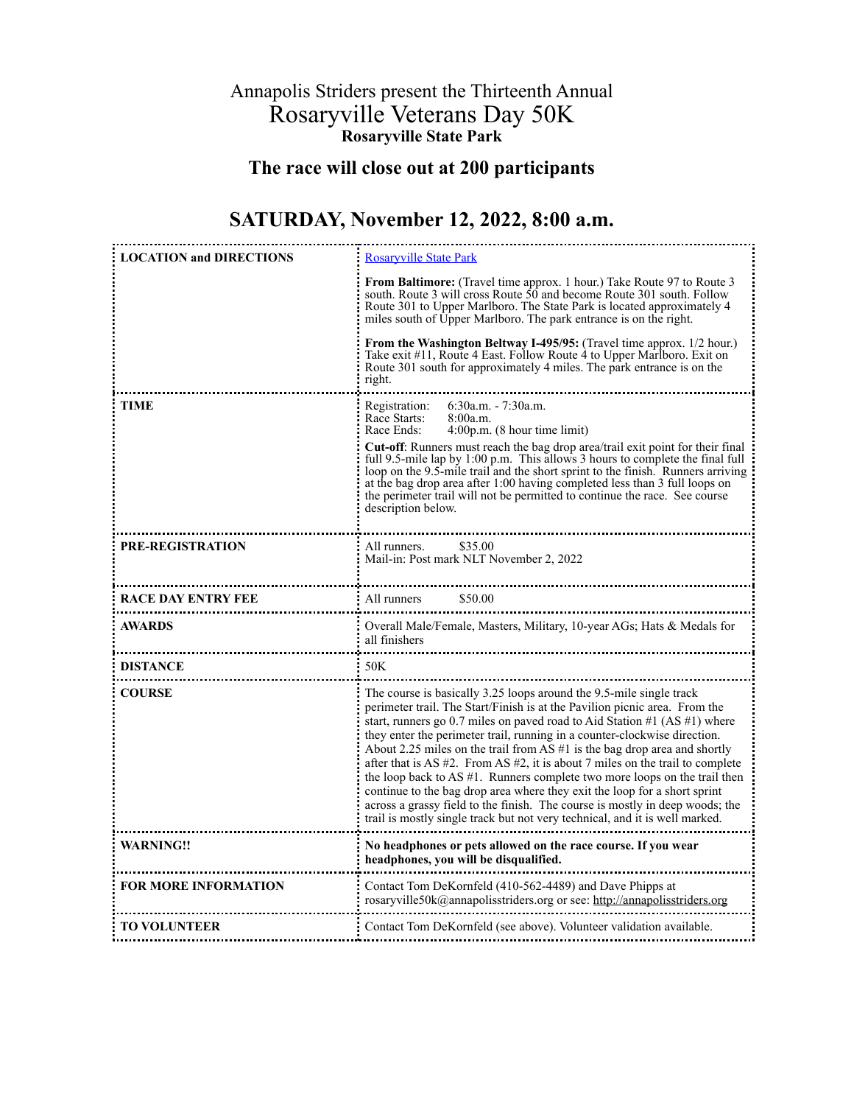## Annapolis Striders present the Thirteenth Annual Rosaryville Veterans Day 50K **Rosaryville State Park**

## **The race will close out at 200 participants**

## **SATURDAY, November 12, 2022, 8:00 a.m.**

| <b>LOCATION and DIRECTIONS</b> | <b>Rosarvville State Park</b><br>From Baltimore: (Travel time approx. 1 hour.) Take Route 97 to Route 3<br>south. Route 3 will cross Route $\overline{50}$ and become Route 301 south. Follow<br>Route 301 to Upper Marlboro. The State Park is located approximately 4<br>miles south of Upper Marlboro. The park entrance is on the right.<br>From the Washington Beltway I-495/95: (Travel time approx. 1/2 hour.)<br>Take exit #11, Route 4 East. Follow Route 4 to Upper Marlboro. Exit on<br>Route 301 south for approximately 4 miles. The park entrance is on the<br>right.                                                                                                                                                                                                                           |  |  |  |
|--------------------------------|---------------------------------------------------------------------------------------------------------------------------------------------------------------------------------------------------------------------------------------------------------------------------------------------------------------------------------------------------------------------------------------------------------------------------------------------------------------------------------------------------------------------------------------------------------------------------------------------------------------------------------------------------------------------------------------------------------------------------------------------------------------------------------------------------------------|--|--|--|
|                                |                                                                                                                                                                                                                                                                                                                                                                                                                                                                                                                                                                                                                                                                                                                                                                                                               |  |  |  |
| TIME                           | Registration:<br>$6:30a.m. - 7:30a.m.$<br>Race Starts:<br>8:00a.m.<br>Race Ends:<br>4:00p.m. (8 hour time limit)<br>Cut-off: Runners must reach the bag drop area/trail exit point for their final<br>full 9.5-mile lap by 1:00 p.m. This allows 3 hours to complete the final full<br>loop on the 9.5-mile trail and the short sprint to the finish. Runners arriving<br>at the bag drop area after 1:00 having completed less than 3 full loops on<br>the perimeter trail will not be permitted to continue the race. See course<br>description below.                                                                                                                                                                                                                                                      |  |  |  |
| PRE-REGISTRATION               | \$35.00<br>All runners.<br>Mail-in: Post mark NLT November 2, 2022                                                                                                                                                                                                                                                                                                                                                                                                                                                                                                                                                                                                                                                                                                                                            |  |  |  |
| <b>RACE DAY ENTRY FEE</b>      | All runners<br>\$50.00                                                                                                                                                                                                                                                                                                                                                                                                                                                                                                                                                                                                                                                                                                                                                                                        |  |  |  |
| AWARDS<br>                     | Overall Male/Female, Masters, Military, 10-year AGs; Hats & Medals for<br>all finishers                                                                                                                                                                                                                                                                                                                                                                                                                                                                                                                                                                                                                                                                                                                       |  |  |  |
| <b>DISTANCE</b>                | 50K                                                                                                                                                                                                                                                                                                                                                                                                                                                                                                                                                                                                                                                                                                                                                                                                           |  |  |  |
| <b>COURSE</b>                  | The course is basically 3.25 loops around the 9.5-mile single track<br>perimeter trail. The Start/Finish is at the Pavilion picnic area. From the<br>start, runners go 0.7 miles on paved road to Aid Station #1 (AS #1) where<br>they enter the perimeter trail, running in a counter-clockwise direction.<br>About 2.25 miles on the trail from AS $#1$ is the bag drop area and shortly<br>after that is AS $#2$ . From AS $#2$ , it is about 7 miles on the trail to complete<br>the loop back to AS $#1$ . Runners complete two more loops on the trail then<br>continue to the bag drop area where they exit the loop for a short sprint<br>across a grassy field to the finish. The course is mostly in deep woods; the<br>trail is mostly single track but not very technical, and it is well marked. |  |  |  |
| <b>WARNING!!</b>               | No headphones or pets allowed on the race course. If you wear<br>headphones, you will be disqualified.                                                                                                                                                                                                                                                                                                                                                                                                                                                                                                                                                                                                                                                                                                        |  |  |  |
| <b>FOR MORE INFORMATION</b>    | Contact Tom DeKornfeld (410-562-4489) and Dave Phipps at<br>rosaryville50k@annapolisstriders.org or see: http://annapolisstriders.org                                                                                                                                                                                                                                                                                                                                                                                                                                                                                                                                                                                                                                                                         |  |  |  |
| <b>TO VOLUNTEER</b>            | Contact Tom DeKornfeld (see above). Volunteer validation available.                                                                                                                                                                                                                                                                                                                                                                                                                                                                                                                                                                                                                                                                                                                                           |  |  |  |